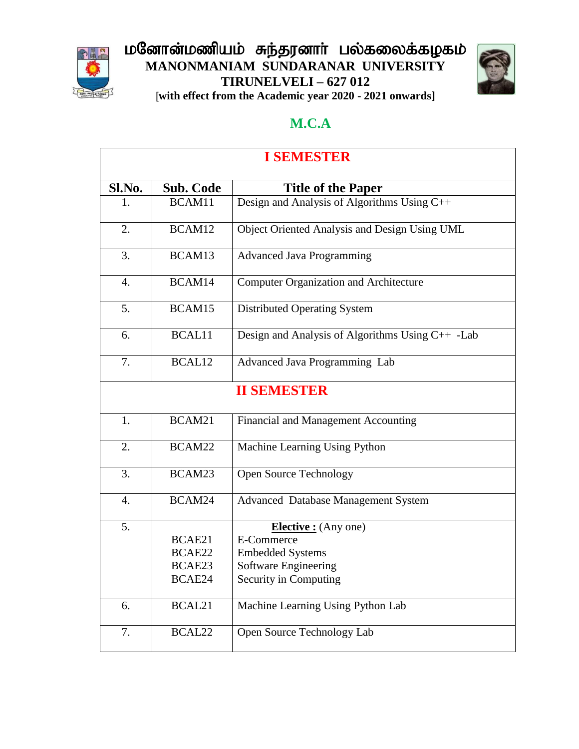

#### மனோன்மணியம் சுந்தரனாா் பல்கலைக்கழகம் **MANONMANIAM SUNDARANAR UNIVERSITY TIRUNELVELI – 627 012** [**with effect from the Academic year 2020 - 2021 onwards]**



#### **M.C.A**

| <b>I SEMESTER</b> |                                      |                                                                                                                       |
|-------------------|--------------------------------------|-----------------------------------------------------------------------------------------------------------------------|
| Sl.No.            | <b>Sub. Code</b>                     | <b>Title of the Paper</b>                                                                                             |
| 1.                | BCAM11                               | Design and Analysis of Algorithms Using C++                                                                           |
| 2.                | BCAM12                               | Object Oriented Analysis and Design Using UML                                                                         |
| 3.                | BCAM13                               | <b>Advanced Java Programming</b>                                                                                      |
| 4.                | BCAM14                               | <b>Computer Organization and Architecture</b>                                                                         |
| 5.                | BCAM15                               | Distributed Operating System                                                                                          |
| 6.                | BCAL11                               | Design and Analysis of Algorithms Using C++ -Lab                                                                      |
| 7.                | BCAL12                               | Advanced Java Programming Lab                                                                                         |
|                   |                                      | <b>II SEMESTER</b>                                                                                                    |
| 1.                | BCAM21                               | Financial and Management Accounting                                                                                   |
| 2.                | BCAM22                               | Machine Learning Using Python                                                                                         |
| 3.                | BCAM23                               | Open Source Technology                                                                                                |
| $\overline{4}$ .  | BCAM24                               | Advanced Database Management System                                                                                   |
| 5.                | BCAE21<br>BCAE22<br>BCAE23<br>BCAE24 | <b>Elective</b> : (Any one)<br>E-Commerce<br><b>Embedded Systems</b><br>Software Engineering<br>Security in Computing |
| 6.                | BCAL21                               | Machine Learning Using Python Lab                                                                                     |
| 7.                | BCAL22                               | Open Source Technology Lab                                                                                            |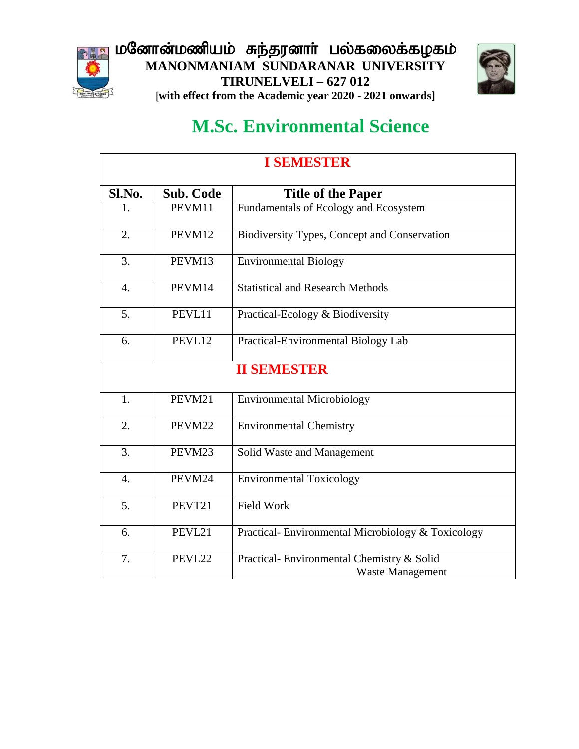





# **M.Sc. Environmental Science**

| <b>I SEMESTER</b> |                  |                                                                       |
|-------------------|------------------|-----------------------------------------------------------------------|
| Sl.No.            | <b>Sub. Code</b> | <b>Title of the Paper</b>                                             |
| 1.                | PEVM11           | Fundamentals of Ecology and Ecosystem                                 |
| 2.                | PEVM12           | Biodiversity Types, Concept and Conservation                          |
| 3.                | PEVM13           | <b>Environmental Biology</b>                                          |
| $\overline{4}$ .  | PEVM14           | <b>Statistical and Research Methods</b>                               |
| 5.                | PEVL11           | Practical-Ecology & Biodiversity                                      |
| 6.                | PEVL12           | Practical-Environmental Biology Lab                                   |
|                   |                  | <b>II SEMESTER</b>                                                    |
| 1.                | PEVM21           | <b>Environmental Microbiology</b>                                     |
| 2.                | PEVM22           | <b>Environmental Chemistry</b>                                        |
| 3.                | PEVM23           | Solid Waste and Management                                            |
| $\overline{4}$ .  | PEVM24           | <b>Environmental Toxicology</b>                                       |
| 5.                | PEVT21           | <b>Field Work</b>                                                     |
| 6.                | PEVL21           | Practical-Environmental Microbiology & Toxicology                     |
| 7.                | PEVL22           | Practical- Environmental Chemistry & Solid<br><b>Waste Management</b> |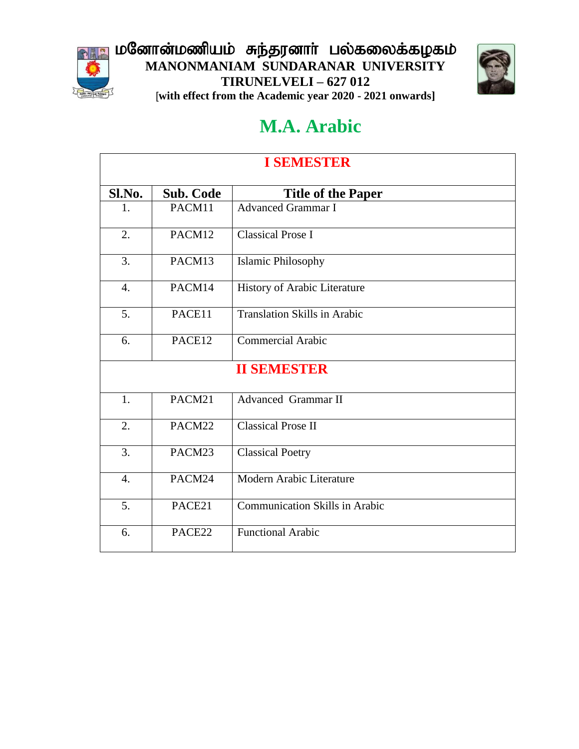

மனோன்மணியம் சுந்தரனாா் பல்கலைக்கழகம் **MANONMANIAM SUNDARANAR UNIVERSITY TIRUNELVELI – 627 012** [**with effect from the Academic year 2020 - 2021 onwards]**



### **M.A. Arabic**

| <b>I SEMESTER</b> |                    |                                       |  |
|-------------------|--------------------|---------------------------------------|--|
| Sl.No.            | <b>Sub. Code</b>   | <b>Title of the Paper</b>             |  |
| 1.                | PACM11             | <b>Advanced Grammar I</b>             |  |
| $\overline{2}$ .  | PACM12             | <b>Classical Prose I</b>              |  |
| 3.                | PACM13             | <b>Islamic Philosophy</b>             |  |
| $\overline{4}$ .  | PACM14             | History of Arabic Literature          |  |
| 5.                | PACE11             | <b>Translation Skills in Arabic</b>   |  |
| 6.                | PACE12             | <b>Commercial Arabic</b>              |  |
|                   | <b>II SEMESTER</b> |                                       |  |
| 1.                | PACM21             | <b>Advanced Grammar II</b>            |  |
| 2.                | PACM22             | <b>Classical Prose II</b>             |  |
| 3.                | PACM23             | <b>Classical Poetry</b>               |  |
| $\overline{4}$ .  | PACM24             | Modern Arabic Literature              |  |
| 5.                | PACE21             | <b>Communication Skills in Arabic</b> |  |
| 6.                | PACE22             | <b>Functional Arabic</b>              |  |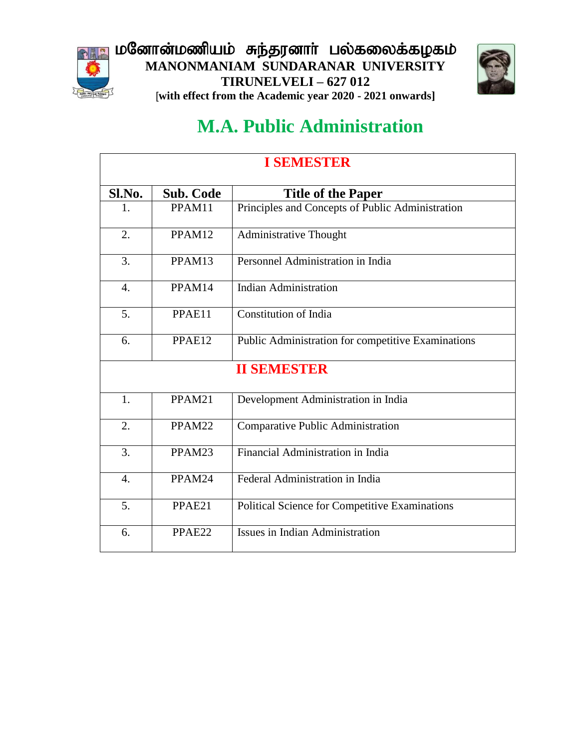





# **M.A. Public Administration**

| <b>I SEMESTER</b>  |                  |                                                       |  |
|--------------------|------------------|-------------------------------------------------------|--|
| Sl.No.             | <b>Sub. Code</b> | <b>Title of the Paper</b>                             |  |
| 1.                 | PPAM11           | Principles and Concepts of Public Administration      |  |
| 2.                 | PPAM12           | <b>Administrative Thought</b>                         |  |
| 3.                 | PPAM13           | Personnel Administration in India                     |  |
| $\overline{4}$ .   | PPAM14           | <b>Indian Administration</b>                          |  |
| 5.                 | PPAE11           | Constitution of India                                 |  |
| 6.                 | PPAE12           | Public Administration for competitive Examinations    |  |
| <b>II SEMBSTER</b> |                  |                                                       |  |
| 1.                 | PPAM21           | Development Administration in India                   |  |
| 2.                 | PPAM22           | <b>Comparative Public Administration</b>              |  |
| 3.                 | PPAM23           | Financial Administration in India                     |  |
| $\overline{4}$ .   | PPAM24           | Federal Administration in India                       |  |
| $\overline{5}$ .   | PPAE21           | <b>Political Science for Competitive Examinations</b> |  |
| 6.                 | PPAE22           | <b>Issues in Indian Administration</b>                |  |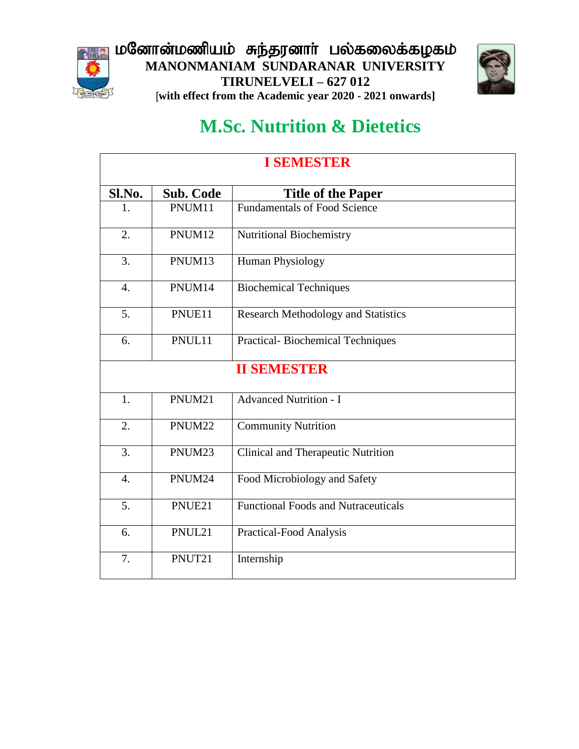





# **M.Sc. Nutrition & Dietetics**

| <b>I SEMESTER</b> |                    |                                            |  |
|-------------------|--------------------|--------------------------------------------|--|
| Sl.No.            | <b>Sub. Code</b>   | <b>Title of the Paper</b>                  |  |
| 1.                | PNUM11             | <b>Fundamentals of Food Science</b>        |  |
| $\overline{2}$ .  | PNUM12             | Nutritional Biochemistry                   |  |
| 3.                | PNUM13             | Human Physiology                           |  |
| $\overline{4}$ .  | PNUM14             | <b>Biochemical Techniques</b>              |  |
| 5.                | PNUE11             | <b>Research Methodology and Statistics</b> |  |
| 6.                | PNUL11             | Practical-Biochemical Techniques           |  |
|                   | <b>II SEMESTER</b> |                                            |  |
| 1.                | PNUM21             | <b>Advanced Nutrition - I</b>              |  |
| 2.                | PNUM22             | <b>Community Nutrition</b>                 |  |
| 3.                | PNUM23             | <b>Clinical and Therapeutic Nutrition</b>  |  |
| $\overline{4}$ .  | PNUM24             | Food Microbiology and Safety               |  |
| 5.                | PNUE21             | <b>Functional Foods and Nutraceuticals</b> |  |
| 6.                | PNUL21             | Practical-Food Analysis                    |  |
| 7.                | PNUT21             | Internship                                 |  |